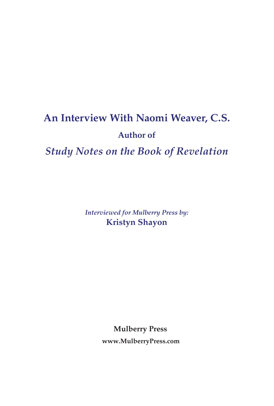# **An Interview With Naomi Weaver, C.S. Author of**

# *Study Notes on the Book of Revelation*

*Interviewed for Mulberry Press by:* **Kristyn Shayon**

**Mulberry Press**

**www.MulberryPress.com**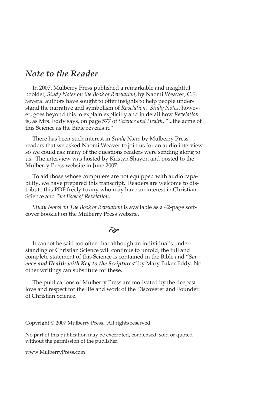# *Note to the Reader*

In 2007, Mulberry Press published a remarkable and insightful booklet, *Study Notes on the Book of Revelation*, by Naomi Weaver, C.S. Several authors have sought to offer insights to help people understand the narrative and symbolism of *Revelation. Study Notes,* however, goes beyond this to explain explicitly and in detail how *Revelation* is, as Mrs. Eddy says, on page 577 of *Science and Health*, "...the acme of this Science as the Bible reveals it."

There has been such interest in *Study Notes* by Mulberry Press readers that we asked Naomi Weaver to join us for an audio interview so we could ask many of the questions readers were sending along to us. The interview was hosted by Kristyn Shayon and posted to the Mulberry Press website in June 2007.

To aid those whose computers are not equipped with audio capability, we have prepared this transcript. Readers are welcome to distribute this PDF freely to any who may have an interest in Christian Science and *The Book of Revelation*.

*Study Notes on The Book of Revelation* is available as a 42-page softcover booklet on the Mulberry Press website.

#### $\hat{\sigma}$

It cannot be said too often that although an individual's understanding of Christian Science will continue to unfold, the full and complete statement of this Science is contained in the Bible and "*Science and Health with Key to the Scriptures*" by Mary Baker Eddy. No other writings can substitute for these.

The publications of Mulberry Press are motivated by the deepest love and respect for the life and work of the Discoverer and Founder of Christian Science.

Copyright © 2007 Mulberry Press. All rights reserved.

No part of this publication may be excerpted, condensed, sold or quoted without the permission of the publisher.

www.MulberryPress.com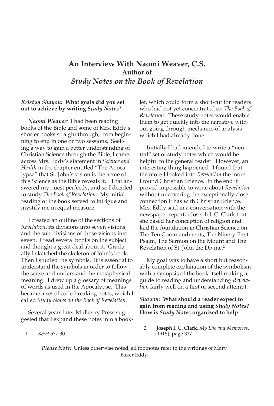## **An Interview With Naomi Weaver, C.S. Author of** *Study Notes on the Book of Revelation*

#### *Kristyn Shayon:* **What goals did you set out to achieve by writing** *Study Notes***?**

*Naomi Weaver:* I had been reading books of the Bible and some of Mrs. Eddy's shorter books straight through, from beginning to end in one or two sessions. Seeking a way to gain a better understanding of Christian Science through the Bible, I came across Mrs. Eddy's statement in *Science and Health* in the chapter entitled "The Apocalypse" that St. John's vision is the acme of this Science as the Bible reveals it. That answered my quest perfectly, and so I decided to study *The Book of Revelation*. My initial reading of the book served to intrigue and mystify me in equal measure.

I created an outline of the sections of *Revelation*, its divisions into seven visions, and the sub-divisions of those visions into seven. I read several books on the subject and thought a great deal about it. Gradually I sketched the skeleton of John's book. Then I studied the symbols. It is essential to understand the symbols in order to follow the sense and understand the metaphysical meaning. I drew up a glossary of meanings of words as used in the Apocalypse. This became a set of code-breaking notes, which I called *Study Notes on the Book of Revelation*.

Several years later Mulberry Press suggested that I expand these notes into a booklet, which could form a short-cut for readers who had not yet concentrated on *The Book of Revelation*. These study notes would enable them to get quickly into the narrative without going through mechanics of analysis which I had already done.

Initially I had intended to write a "neutral" set of study notes which would be helpful to the general reader. However, an interesting thing happened. I found that the more I looked into *Revelation* the more I found Christian Science. In the end it proved impossible to write about *Revelation* without uncovering the exceptionally close connection it has with Christian Science. Mrs. Eddy said in a conversation with the newspaper reporter Joseph I. C. Clark that she based her conception of religion and laid the foundation in Christian Science on The Ten Commandments, The Ninety-First Psalm, The Sermon on the Mount and The Revelation of St. John the Divine.<sup>2</sup>

My goal was to have a short but reasonably complete explanation of the symbolism with a synopsis of the book itself making a guide to reading and understanding *Revelation* fairly well on a first or second attempt.

*Shayon:* **What should a reader expect to gain from reading and using** *Study Notes***? How is** *Study Notes* **organized to help** 

*Please Note:* Unless otherwise noted, all footnotes refer to the writings of Mary Baker Eddy.

*S&H* 577:30

<sup>2</sup> Joseph I. C. Clark, *My Life and Memories*, (1915), page 337.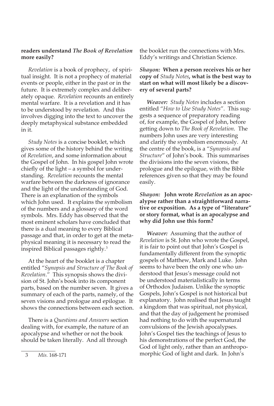#### **readers understand** *The Book of Revelation*  **more easily?**

*Revelation* is a book of prophecy, of spiritual insight. It is not a prophecy of material events or people, either in the past or in the future. It is extremely complex and deliberately opaque. *Revelation* recounts an entirely mental warfare. It is a revelation and it has to be understood by revelation. And this involves digging into the text to uncover the deeply metaphysical substance embedded in it.

*Study Notes* is a concise booklet, which gives some of the history behind the writing of *Revelation*, and some information about the Gospel of John. In his gospel John wrote chiefly of the light – a symbol for understanding. *Revelation* recounts the mental warfare between the darkness of ignorance and the light of the understanding of God. There is an explanation of the symbols which John used. It explains the symbolism of the numbers and a glossary of the word symbols. Mrs. Eddy has observed that the most eminent scholars have concluded that there is a dual meaning to every Biblical passage and that, in order to get at the metaphysical meaning it is necessary to read the inspired Biblical passages rightly.3

At the heart of the booklet is a chapter entitled "*Synopsis and Structure of The Book of Revelation*." This synopsis shows the division of St. John's book into its component parts, based on the number seven. It gives a summary of each of the parts, namely, of the seven visions and prologue and epilogue. It shows the connections between each section.

There is a *Questions and Answers* section dealing with, for example, the nature of an apocalypse and whether or not the book should be taken literally. And all through

the booklet run the connections with Mrs. Eddy's writings and Christian Science.

#### *Shayon:* **When a person receives his or her copy of** *Study Notes***, what is the best way to start on what will most likely be a discovery of several parts?**

*Weaver: Study Notes* includes a section entitled "*How to Use Study Notes*". This suggests a sequence of preparatory reading of, for example, the Gospel of John, before getting down to *The Book of Revelation*. The numbers John uses are very interesting and clarify the symbolism enormously. At the centre of the book, is a "*Synopsis and Structure*" of John's book. This summarises the divisions into the seven visions, the prologue and the epilogue, with the Bible references given so that they may be found easily.

#### *Shayon:* **John wrote** *Revelation* **as an apocalypse rather than a straightforward narrative or exposition. As a type of "literature" or story format, what is an apocalypse and why did John use this form?**

*Weaver:* Assuming that the author of *Revelation* is St. John who wrote the Gospel, it is fair to point out that John's Gospel is fundamentally different from the synoptic gospels of Matthew, Mark and Luke. John seems to have been the only one who understood that Jesus's message could not be understood materialistically in terms of Orthodox Judaism. Unlike the synoptic Gospels, John's Gospel is not historical but explanatory. John realised that Jesus taught a kingdom that was spiritual, not physical, and that the day of judgement he promised had nothing to do with the supernatural convulsions of the Jewish apocalypses. John's Gospel ties the teachings of Jesus to his demonstrations of the perfect God, the God of light only, rather than an anthropomorphic God of light and dark. In John's

<sup>3</sup> Mis. 168-171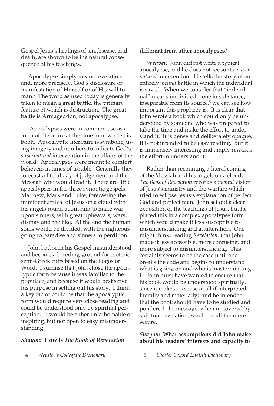Gospel Jesus's healings of sin,disease, and death, are shown to be the natural consequence of his teachings.

Apocalypse simply means revelation, and, more precisely, God's disclosure or manifestation of Himself or of His will to man.4 The word as used today is generally taken to mean a great battle, the primary feature of which is destruction. The great battle is Armageddon, not apocalypse.

 Apocalypses were in common use as a form of literature at the time John wrote his book. Apocalyptic literature is symbolic, using imagery and numbers to indicate God's *supernatural* intervention in the affairs of the world. Apocalypses were meant to comfort believers in times of trouble. Generally they forecast a literal day of judgement and the Messiah who would lead it. There are little apocalypses in the three synoptic gospels, Matthew, Mark and Luke, forecasting the imminent arrival of Jesus on a cloud with his angels round about him to make war upon sinners, with great upheavals, wars, dismay and the like. At the end the human souls would be divided, with the righteous going to paradise and sinners to perdition.

John had seen his Gospel misunderstood and become a breeding-ground for esoteric semi-Greek cults based on the Logos or Word. I surmise that John chose the apocalyptic form because it was familiar to the populace, and because it would best serve his purpose in setting out his story. I think a key factor could be that the apocalyptic form would require very close reading and could be understood only by spiritual perception. It would be either unfathomable or inspiring, but not open to easy misunderstanding.

#### *Shayon***: How is** *The Book of Revelation*

4 *Webster's Collegiate Dictionary*

#### **different from other apocalypses?**

*Weaver:* John did not write a typical apocalypse, and he does not recount a *supernatural* intervention. He tells the story of an entirely *mental* battle in which the individual is saved. When we consider that "individual" means undivided – one in substance, inseparable from its source,<sup>5</sup> we can see how important this prophecy is. It is clear that John wrote a book which could only be understood by someone who was prepared to take the time and make the effort to understand it. It is dense and deliberately opaque. It is not intended to be easy reading. But it is immensely interesting and amply rewards the effort to understand it.

Rather than recounting a literal coming of the Messiah and his angels on a cloud, *The Book of Revelation* records a *mental* vision of Jesus's ministry and the warfare which tried to eclipse Jesus's explanation of perfect God and perfect man. John set out a clear exposition of the teachings of Jesus, but he placed this in a complex apocalypse form which would make it less susceptible to misunderstanding and adulteration. One might think, reading *Revelation,* that John made it less accessible, more confusing, and more subject to misunderstanding. This certainly seems to be the case until one breaks the code and begins to understand what is going on and who is masterminding it. John must have wanted to ensure that his book would be understood spiritually, since it makes no sense at all if interpreted literally and materially; and he intended that the book should have to be studied and pondered. Its message, when uncovered by spiritual revelation, would be all the more secure.

#### *Shayon:* **What assumptions did John make about his readers' interests and capacity to**

<sup>5</sup> *Shorter Oxford English Dictionary*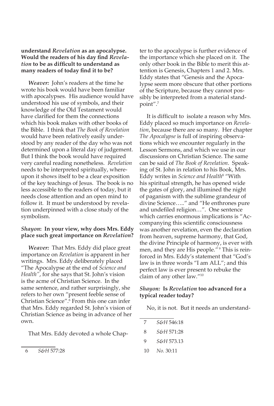#### **understand** *Revelation* **as an apocalypse. Would the readers of his day find** *Revelation* **to be as difficult to understand as many readers of today find it to be?**

*Weaver:* John's readers at the time he wrote his book would have been familiar with apocalypses. His audience would have understood his use of symbols, and their knowledge of the Old Testament would have clarified for them the connections which his book makes with other books of the Bible. I think that *The Book of Revelation*  would have been relatively easily understood by any reader of the day who was not determined upon a literal day of judgement. But I think the book would have required very careful reading nonetheless. *Revelation* needs to be interpreted spiritually, whereupon it shows itself to be a clear exposition of the key teachings of Jesus. The book is no less accessible to the readers of today, but it needs close attention and an open mind to follow it. It must be understood by revelation underpinned with a close study of the symbolism.

#### *Shayon***: In your view, why does Mrs. Eddy place such great importance on** *Revelation***?**

*Weaver:* That Mrs. Eddy did place great importance on *Revelation* is apparent in her writings. Mrs. Eddy deliberately placed "The Apocalypse at the end of *Science and Health"*, for she says that St. John's vision is the acme of Christian Science. In the same sentence, and rather surprisingly, she refers to her own "present feeble sense of Christian Science".6 From this one can infer that Mrs. Eddy regarded St. John's vision of Christian Science as being in advance of her own.

That Mrs. Eddy devoted a whole Chap-

ter to the apocalypse is further evidence of the importance which she placed on it. The only other book in the Bible to merit this attention is Genesis, Chapters 1 and 2. Mrs. Eddy states that "Genesis and the Apocalypse seem more obscure that other portions of the Scripture, because they cannot possibly be interpreted from a material standpoint".7

It is difficult to isolate a reason why Mrs. Eddy placed so much importance on *Revelation*, because there are so many. Her chapter *The Apocalypse* is full of inspiring observations which we encounter regularly in the Lesson Sermons, and which we use in our discussions on Christian Science. The same can be said of *The Book of Revelation*. Speaking of St. John in relation to his Book, Mrs. Eddy writes in *Science and Health*<sup>8</sup> "With his spiritual strength, he has opened wide the gates of glory, and illumined the night of paganism with the sublime grandeur of divine Science….." and "He enthrones pure and undefiled religion…". One sentence which carries enormous implications is "Accompanying this scientific consciousness was another revelation, even the declaration from heaven, supreme harmony, that God, the divine Principle of harmony, is ever with men, and they are His people."<sup>9</sup> This is reinforced in Mrs. Eddy's statement that "God's law is in three words "I am ALL"; and this perfect law is ever present to rebuke the claim of any other law."<sup>10</sup>

#### *Shayon:* **Is** *Revelation* **too advanced for a typical reader today?**

No, it is not. But it needs an understand-

| 7  | S&H 546:18 |
|----|------------|
| 8  | S&H 571:28 |
| 9  | S&H 573.13 |
| 10 | No. 30:11  |

<sup>6</sup> *S&H* 577:28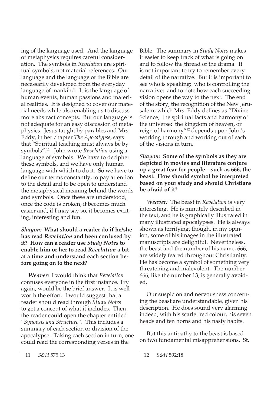ing of the language used. And the language of metaphysics requires careful consideration. The symbols in *Revelation* are spiritual symbols, not material references. Our language and the language of the Bible are necessarily developed from the everyday language of mankind. It is the language of human events, human passions and material realities. It is designed to cover our material needs while also enabling us to discuss more abstract concepts. But our language is not adequate for an easy discussion of metaphysics. Jesus taught by parables and Mrs. Eddy, in her chapter *The Apocalypse*, says that "Spiritual teaching must always be by symbols".<sup>11</sup> John wrote *Revelation* using a language of symbols. We have to decipher these symbols, and we have only human language with which to do it. So we have to define our terms constantly, to pay attention to the detail and to be open to understand the metaphysical meaning behind the words and symbols. Once these are understood, once the code is broken, it becomes much easier and, if I may say so, it becomes exciting, interesting and fun.

#### *Shayon:* **What should a reader do if he/she has read** *Revelation* **and been confused by it? How can a reader use** *Study Notes* **to enable him or her to read** *Revelation* **a bit at a time and understand each section before going on to the next?**

*Weaver:* I would think that *Revelation* confuses everyone in the first instance. Try again, would be the brief answer. It is well worth the effort. I would suggest that a reader should read through *Study Notes* to get a concept of what it includes. Then the reader could open the chapter entitled "*Synopsis and Structure*". This includes a summary of each section or division of the apocalypse. Taking each section in turn, one could read the corresponding verses in the

Bible. The summary in *Study Notes* makes it easier to keep track of what is going on and to follow the thread of the drama. It is not important to try to remember every detail of the narrative. But it is important to see who is speaking; who is controlling the narrative; and to note how each succeeding vision opens the way to the next. The end of the story, the recognition of the New Jerusalem, which Mrs. Eddy defines as "Divine Science; the spiritual facts and harmony of the universe; the kingdom of heaven, or reign of harmony"<sup>12</sup> depends upon John's working through and working out of each of the visions in turn.

*Shayon:* **Some of the symbols as they are depicted in movies and literature conjure up a great fear for people – such as 666, the beast. How should symbol be interpreted based on your study and should Christians be afraid of it?** 

*Weaver:* The beast in *Revelation* is very interesting. He is minutely described in the text, and he is graphically illustrated in many illustrated apocalypses. He is always shown as terrifying, though, in my opinion, some of his images in the illustrated manuscripts are delightful. Nevertheless, the beast and the number of his name, 666, are widely feared throughout Christianity. He has become a symbol of something very threatening and malevolent. The number 666, like the number 13, is generally avoided.

Our suspicion and nervousness concerning the beast are understandable, given his description. He does sound very alarming indeed, with his scarlet red colour, his seven heads and ten horns and his nasty habits.

But this antipathy to the beast is based on two fundamental misapprehensions. St.

*S&H* 575:3

<sup>2</sup> *S&H* 592:8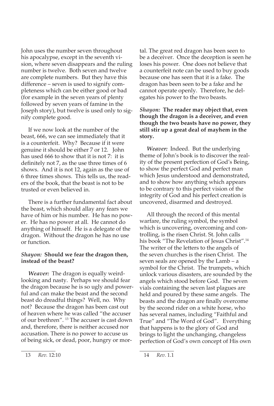John uses the number seven throughout his apocalypse, except in the seventh vision, where seven disappears and the ruling number is twelve. Both seven and twelve are complete numbers. But they have this difference – seven is used to signify completeness which can be either good or bad (for example in the seven years of plenty followed by seven years of famine in the Joseph story), but twelve is used only to signify complete good.

If we now look at the number of the beast, 666, we can see immediately that it is a counterfeit. Why? Because if it were genuine it should be either 7 or 12. John has used 666 to show that it is not 7: it is definitely not 7, as the use three times of 6 shows. And it is not 12, again as the use of 6 three times shows. This tells us, the readers of the book, that the beast is not to be trusted or even believed in.

There is a further fundamental fact about the beast, which should allay any fears we have of him or his number. He has no power. He has no power at all. He cannot do anything of himself. He is a delegate of the dragon. Without the dragon he has no use or function.

#### *Shayon:* **Should we fear the dragon then, instead of the beast?**

*Weaver:* The dragon is equally weirdlooking and nasty. Perhaps we should fear the dragon because he is so ugly and powerful and can make the beast and the second beast do dreadful things? Well, no. Why not? Because the dragon has been cast out of heaven where he was called "the accuser of our brethren". <sup>13</sup> The accuser is cast down and, therefore, there is neither accused nor accusation. There is no power to accuse us of being sick, or dead, poor, hungry or mor-

tal. The great red dragon has been seen to be a deceiver. Once the deception is seen he loses his power. One does not believe that a counterfeit note can be used to buy goods because one has seen that it is a fake. The dragon has been seen to be a fake and he cannot operate openly. Therefore, he delegates his power to the two beasts.

#### *Shayon:* **The reader may object that, even though the dragon is a deceiver, and even though the two beasts have no power, they still stir up a great deal of mayhem in the story.**

*Weaver:* Indeed. But the underlying theme of John's book is to discover the reality of the present perfection of God's Being, to show the perfect God and perfect man which Jesus understood and demonstrated, and to show how anything which appears to be contrary to this perfect vision of the integrity of God and his perfect creation is uncovered, disarmed and destroyed.

All through the record of this mental warfare, the ruling symbol, the symbol which is uncovering, overcoming and controlling, is the risen Christ. St. John calls his book "The Revelation of Jesus Christ".4 The writer of the letters to the angels of the seven churches is the risen Christ. The seven seals are opened by the Lamb – a symbol for the Christ. The trumpets, which unlock various disasters, are sounded by the angels which stood before God. The seven vials containing the seven last plagues are held and poured by these same angels. The beasts and the dragon are finally overcome by the second rider on a white horse, who has several names, including "Faithful and True" and "The Word of God". Everything that happens is to the glory of God and brings to light the unchanging, changeless perfection of God's own concept of His own

<sup>13</sup> *Rev.* 12:10

<sup>14</sup> *Rev.* 1.1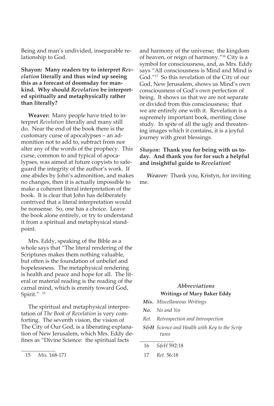Being and man's undivided, inseparable relationship to God.

#### **Shayon: Many readers try to interpret** *Revelation* **literally and thus wind up seeing this as a forecast of doomsday for mankind. Why should** *Revelation* **be interpreted spiritually and metaphysically rather than literally?**

**Weaver:** Many people have tried to interpret *Revelation* literally and many still do. Near the end of the book there is the customary curse of apocalypses – an admonition not to add to, subtract from nor alter any of the words of the prophecy. This curse, common to and typical of apocalypses, was aimed at future copyists to safeguard the integrity of the author's work. If one abides by John's admonition, and makes no changes, then it is actually impossible to make a coherent literal interpretation of the book. It is clear that John has deliberately contrived that a literal interpretation would be nonsense. So, one has a choice. Leave the book alone entirely, or try to understand it from a spiritual and metaphysical standpoint.

Mrs. Eddy, speaking of the Bible as a whole says that "The literal rendering of the Scriptures makes them nothing valuable, but often is the foundation of unbelief and hopelessness. The metaphysical rendering is health and peace and hope for all. The literal or material reading is the reading of the carnal mind, which is enmity toward God, Spirit."<sup>15</sup>

The spiritual and metaphysical interpretation of *The Book of Revelation* is very comforting. The seventh vision, the vision of The City of Our God, is a liberating explanation of New Jerusalem, which Mrs. Eddy defines as "Divine Science: the spiritual facts

and harmony of the universe; the kingdom of heaven, or reign of harmony."<sup>16</sup> City is a symbol for consciousness, and, as Mrs. Eddy says "All consciousness is Mind and Mind is God."<sup>17</sup> So this revelation of the City of our God, New Jerusalem, shows us Mind's own consciousness of God's own perfection of being. It shows us that we are not separate or divided from this consciousness; that we are entirely one with it. Revelation is a supremely important book, meriting close study. In spite of all the ugly and threatening images which it contains, it is a joyful journey with great blessings.

#### *Shayon:* **Thank you for being with us today. And thank you for for such a helpful and insightful guide to** *Revelation***!**

*Weaver:* Thank you, Kristyn, for inviting me.

#### *Abbreviations* **Writings of Mary Baker Eddy**

- *Mis. Miscellaneous Writings*
- *No. No and Yes*
- *Ret. Retrospection and Introspection*
- *S&H Science and Health with Key to the Scrip tures*

6 *S&H* 592:8

7 *Ret.* 56:8

<sup>15</sup> *Mis.* 168-171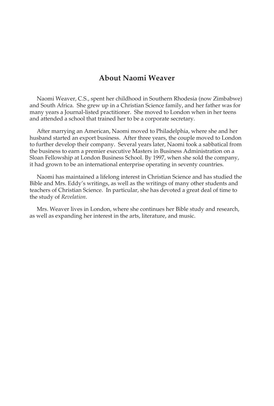### **About Naomi Weaver**

Naomi Weaver, C.S., spent her childhood in Southern Rhodesia (now Zimbabwe) and South Africa. She grew up in a Christian Science family, and her father was for many years a Journal-listed practitioner. She moved to London when in her teens and attended a school that trained her to be a corporate secretary.

After marrying an American, Naomi moved to Philadelphia, where she and her husband started an export business. After three years, the couple moved to London to further develop their company. Several years later, Naomi took a sabbatical from the business to earn a premier executive Masters in Business Administration on a Sloan Fellowship at London Business School. By 997, when she sold the company, it had grown to be an international enterprise operating in seventy countries.

Naomi has maintained a lifelong interest in Christian Science and has studied the Bible and Mrs. Eddy's writings, as well as the writings of many other students and teachers of Christian Science. In particular, she has devoted a great deal of time to the study of *Revelation*.

Mrs. Weaver lives in London, where she continues her Bible study and research, as well as expanding her interest in the arts, literature, and music.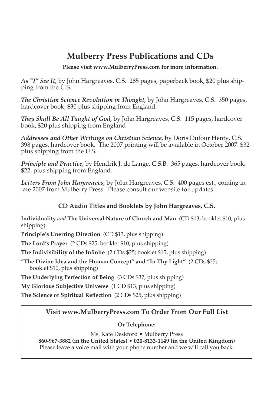# **Mulberry Press Publications and CDs**

**Please visit www.MulberryPress.com for more information.**

*As "I" See It,* by John Hargreaves, C.S. 285 pages, paperback book, \$20 plus shipping from the U.S.

*The Christian Science Revolution in Thought,* by John Hargreaves, C.S. 350 pages, hardcover book, \$30 plus shipping from England.

*They Shall Be All Taught of God, by John Hargreaves, C.S. 115 pages, hardcover* book, \$20 plus shipping from England

*Addresses and Other Writings on Christian Science,* by Doris Dufour Henty, C.S. 398 pages, hardcover book. The 2007 printing will be available in October 2007. \$32 plus shipping from the U.S.

*Principle and Practice,* by Hendrik J. de Lange, C.S.B. 365 pages, hardcover book, \$22, plus shipping from England.

*Letters From John Hargreaves,* by John Hargreaves, C.S. 400 pages est., coming in late 2007 from Mulberry Press. Please consult our website for updates.

#### **CD Audio Titles and Booklets by John Hargreaves, C.S.**

**Individuality** *and* **The Universal Nature of Church and Man** (CD \$3; booklet \$0, plus shipping)

Principle's Unerring Direction (CD \$13, plus shipping)

**The Lord's Prayer** (2 CDs \$25; booklet \$10, plus shipping)

The Indivisibility of the Infinite (2 CDs \$25; booklet \$15, plus shipping)

**"The Divine Idea and the Human Concept" and "In Thy Light"** (2 CDs \$25; booklet \$0, plus shipping)

**The Underlying Perfection of Being** (3 CDs \$37, plus shipping)

**My Glorious Subjective Universe** (1 CD \$13, plus shipping)

**The Science of Spiritual Reflection** (2 CDs \$25, plus shipping)

#### **Visit www.MulberryPress.com To Order From Our Full List**

#### **Or Telephone:**

Ms. Kate Deskford • Mulberry Press

**860-967-3882 (in the United States) • 020-8133-1149 (in the United Kingdom)** Please leave a voice mail with your phone number and we will call you back.